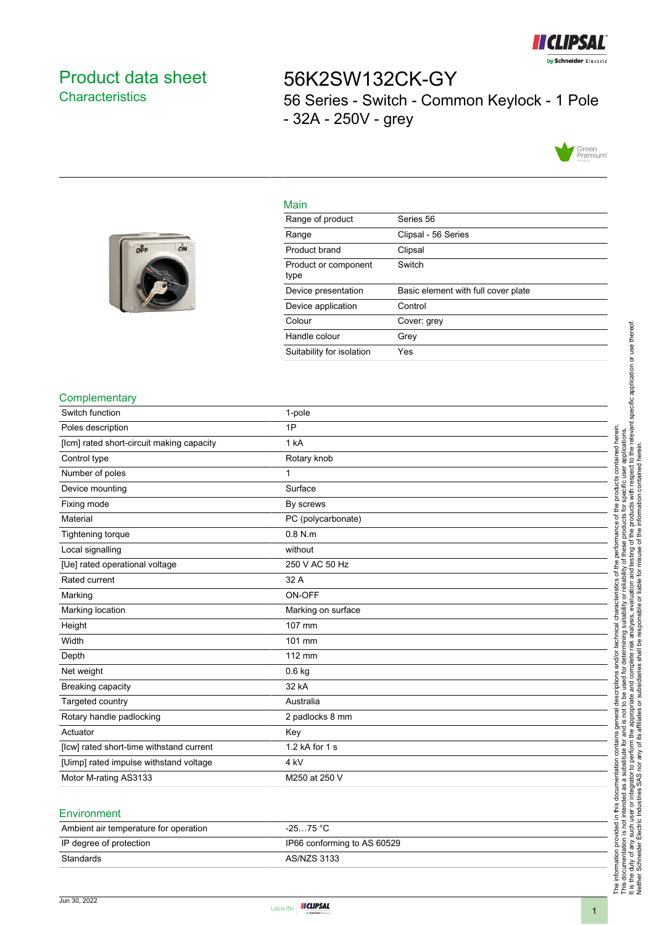

## <span id="page-0-0"></span>Product data sheet **Characteristics**

off

ON

# 56K2SW132CK-GY 56 Series - Switch - Common Keylock - 1 Pole - 32A - 250V - grey



#### Main

| Range of product             | Series 56                           |
|------------------------------|-------------------------------------|
| Range                        | Clipsal - 56 Series                 |
| Product brand                | Clipsal                             |
| Product or component<br>type | Switch                              |
| Device presentation          | Basic element with full cover plate |
| Device application           | Control                             |
| Colour                       | Cover: grev                         |
| Handle colour                | Grey                                |
| Suitability for isolation    | Yes                                 |

#### **Complementary**

| Switch function                           | 1-pole             |
|-------------------------------------------|--------------------|
| Poles description                         | 1P                 |
| [lcm] rated short-circuit making capacity | 1 kA               |
| Control type                              | Rotary knob        |
| Number of poles                           | 1                  |
| Device mounting                           | Surface            |
| Fixing mode                               | By screws          |
| Material                                  | PC (polycarbonate) |
| Tightening torque                         | $0.8$ N.m.         |
| Local signalling                          | without            |
| [Ue] rated operational voltage            | 250 V AC 50 Hz     |
| Rated current                             | 32 A               |
| Marking                                   | ON-OFF             |
| Marking location                          | Marking on surface |
| Height                                    | 107 mm             |
| Width                                     | 101 mm             |
| Depth                                     | 112 mm             |
| Net weight                                | $0.6$ kg           |
| Breaking capacity                         | 32 kA              |
| Targeted country                          | Australia          |
| Rotary handle padlocking                  | 2 padlocks 8 mm    |
| Actuator                                  | Key                |
| [lcw] rated short-time withstand current  | 1.2 kA for 1 s     |
| [Uimp] rated impulse withstand voltage    | 4 kV               |
| Motor M-rating AS3133                     | M250 at 250 V      |
|                                           |                    |

#### **Environment**

| Ambient air temperature for operation | $-2575 °C$                  |
|---------------------------------------|-----------------------------|
| IP degree of protection               | IP66 conforming to AS 60529 |
| Standards                             | AS/NZS 3133                 |